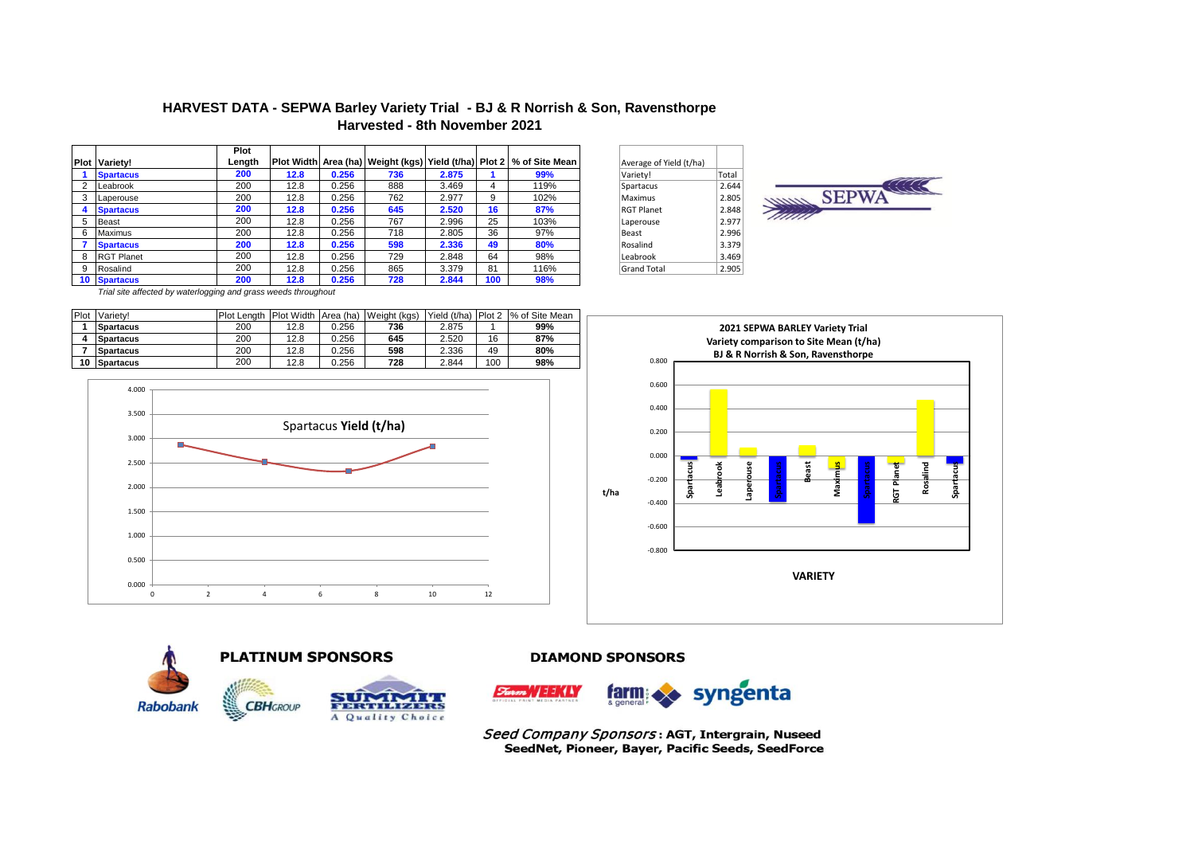# **HARVEST DATA - SEPWA Barley Variety Trial - BJ & R Norrish & Son, Ravensthorpe Harvested - 8th November 2021**

|   |                      | Plot   |      |       |     |       |     |                                                                                |       |                         |       |
|---|----------------------|--------|------|-------|-----|-------|-----|--------------------------------------------------------------------------------|-------|-------------------------|-------|
|   | <b>Plot Variety!</b> | Length |      |       |     |       |     | Plot Width   Area (ha)   Weight (kgs)   Yield (t/ha)   Plot 2   % of Site Mean |       | Average of Yield (t/ha) |       |
|   | <b>Spartacus</b>     | 200    | 12.8 | 0.256 | 736 | 2.875 |     | 99%                                                                            |       | Variety!                | Total |
|   | Leabrook             | 200    | 12.8 | 0.256 | 888 | 3.469 | 4   | 119%                                                                           |       | Spartacus               | 2.644 |
|   | Laperouse            | 200    | 12.8 | 0.256 | 762 | 2.977 | 9   | 102%                                                                           |       | Maximus                 | 2.805 |
|   | <b>Spartacus</b>     | 200    | 12.8 | 0.256 | 645 | 2.520 | 16  | 87%                                                                            |       | <b>RGT Planet</b>       | 2.848 |
|   | Beast                | 200    | 12.8 | 0.256 | 767 | 2.996 | 25  | 103%                                                                           |       | Laperouse               | 2.977 |
| 6 | Maximus              | 200    | 12.8 | 0.256 | 718 | 2.805 | 36  | 97%                                                                            | Beast |                         | 2.996 |
|   | <b>Spartacus</b>     | 200    | 12.8 | 0.256 | 598 | 2.336 | 49  | 80%                                                                            |       | Rosalind                | 3.379 |
| 8 | <b>RGT Planet</b>    | 200    | 12.8 | 0.256 | 729 | 2.848 | 64  | 98%                                                                            |       | Leabrook                | 3.469 |
|   | Rosalind             | 200    | 12.8 | 0.256 | 865 | 3.379 | 81  | 116%                                                                           |       | Grand Total             | 2.905 |
|   | 10 Spartacus         | 200    | 12.8 | 0.256 | 728 | 2.844 | 100 | 98%                                                                            |       |                         |       |
|   |                      |        |      |       |     |       |     |                                                                                |       |                         |       |

| Average of Yield (t/ha) |       |
|-------------------------|-------|
| Variety!                | Total |
| Spartacus               | 2.644 |
| Maximus                 | 2.805 |
| <b>RGT Planet</b>       | 2.848 |
| Laperouse               | 2977  |
| Beast                   | 2.996 |
| Rosalind                | 3.379 |
| Leabrook                | 3.469 |
| <b>Grand Total</b>      | 2.905 |



*Trial site affected by waterlogging and grass weeds throughout*

| Plot | Variety!         | Plot Lenath |      |       | Plot Width Area (ha) Weight (kgs) |       |     | IYield (t/ha) IPlot 2 1% of Site Mean |
|------|------------------|-------------|------|-------|-----------------------------------|-------|-----|---------------------------------------|
|      | <b>Spartacus</b> | 200         | 12.8 | 0.256 | 736                               | 2.875 |     | 99%                                   |
|      | <b>Spartacus</b> | 200         | 12.8 | 0.256 | 645                               | 2.520 | 16  | 87%                                   |
|      | <b>Spartacus</b> | 200         | 12.8 | 0.256 | 598                               | 2.336 | 49  | 80%                                   |
| 10   | Spartacus        | 200         | 12.8 | 0.256 | 728                               | 2.844 | 100 | 98%                                   |











#### **DIAMOND SPONSORS**



Seed Company Sponsors: AGT, Intergrain, Nuseed SeedNet, Pioneer, Bayer, Pacific Seeds, SeedForce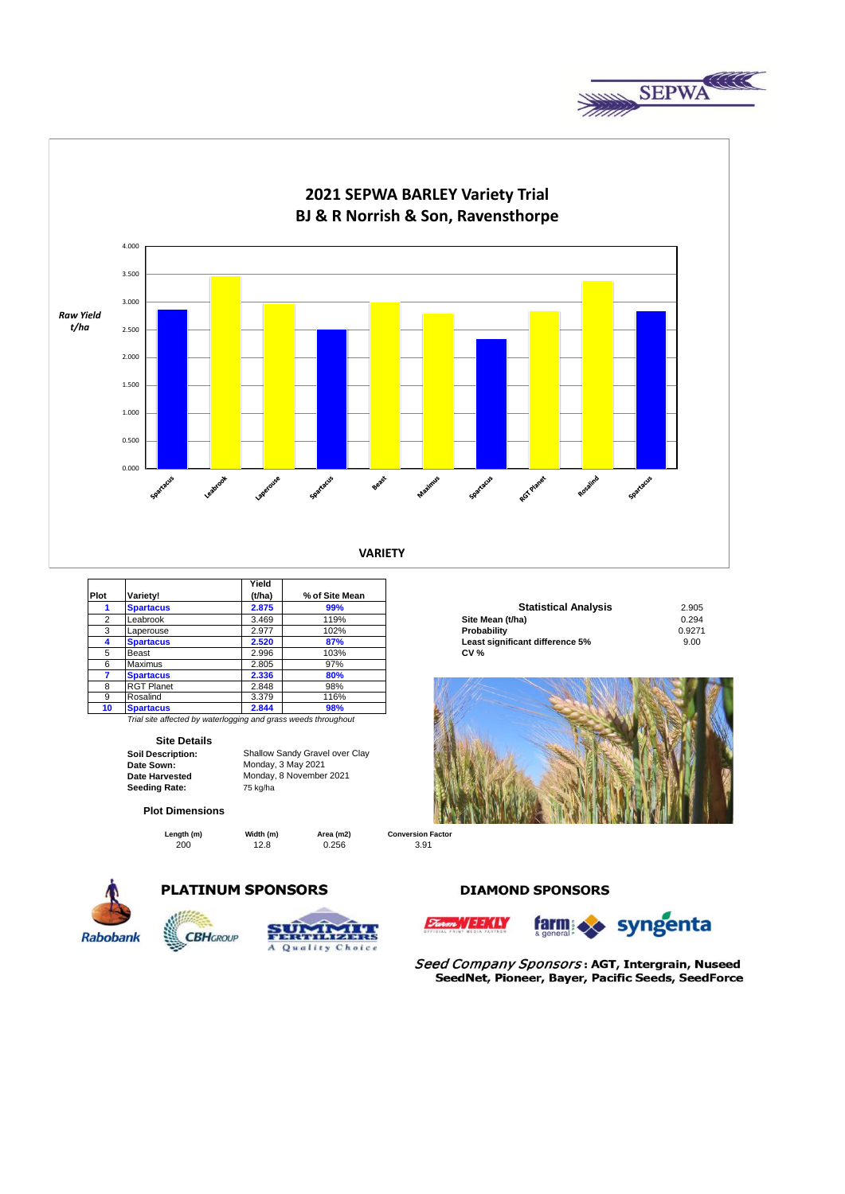



|                |                   | Yield  |                |                                 |        |
|----------------|-------------------|--------|----------------|---------------------------------|--------|
| Plot           | Variety!          | (t/ha) | % of Site Mean |                                 |        |
|                | <b>Spartacus</b>  | 2.875  | 99%            | <b>Statistical Analysis</b>     | 2.905  |
| $\overline{2}$ | Leabrook          | 3.469  | 119%           | Site Mean (t/ha)                | 0.294  |
| 3              | Laperouse         | 2.977  | 102%           | Probability                     | 0.9271 |
|                | <b>Spartacus</b>  | 2.520  | 87%            | Least significant difference 5% | 9.00   |
| 5              | Beast             | 2.996  | 103%           | <b>CV%</b>                      |        |
| 6              | <b>Maximus</b>    | 2.805  | 97%            |                                 |        |
|                | <b>Spartacus</b>  | 2.336  | 80%            |                                 |        |
| 8              | <b>RGT Planet</b> | 2.848  | 98%            |                                 |        |
| 9              | Rosalind          | 3.379  | 116%           |                                 |        |
| 10             | <b>Spartacus</b>  | 2.844  | 98%            |                                 |        |

*Trial site affected by waterlogging and grass weeds throughout*

Monday, 3 May 2021 Monday, 8 November 2021

#### **Site Details**

**Soil Description:** Shallow Sandy Gravel over Clay **Date Sown: Date Harvested**  Seeding Rate: 75 kg/ha

**Plot Dimensions**

**Length (m) Width (m) Area (m2)** 

200 12.8 0.256 3.91



# **PLATINUM SPONSORS**





| <b>Statistical Analysis</b>     | 2.905  |
|---------------------------------|--------|
| Site Mean (t/ha)                | 0.294  |
| Probability                     | 0.9271 |
| Least significant difference 5% | 9.00   |
| <b>CV %</b>                     |        |



**Conversion Factor**

**DIAMOND SPONSORS** 





Seed Company Sponsors: AGT, Intergrain, Nuseed SeedNet, Pioneer, Bayer, Pacific Seeds, SeedForce